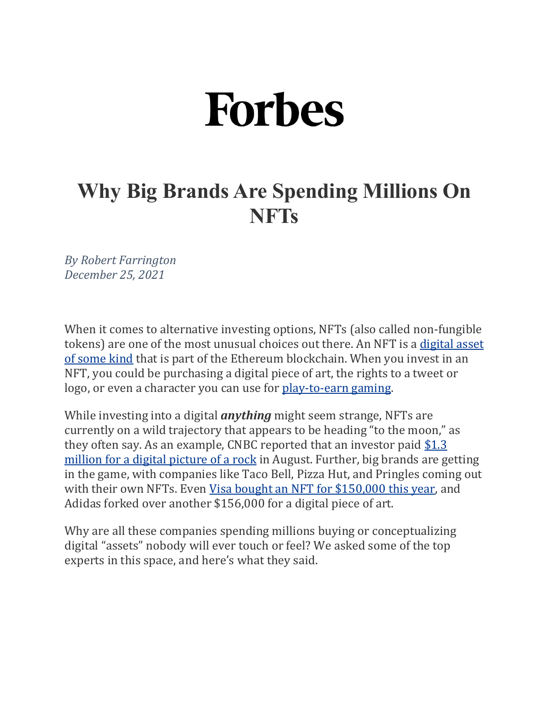# **Forbes**

## **Why Big Brands Are Spending Millions On NFTs**

*By Robert Farrington December 25, 2021*

When it comes to alternative investing options, NFTs (also called non-fungible tokens) are one of the most unusual choices out there. An NFT is a *digital asset* [of some kind](https://www.forbes.com/sites/robertfarrington/2021/04/13/nfts-solid-investment-or-future-beanie-babies/?sh=65e280753569) that is part of the Ethereum blockchain. When you invest in an NFT, you could be purchasing a digital piece of art, the rights to a tweet or logo, or even a character you can use for [play-to-earn gaming.](https://www.forbes.com/sites/robertfarrington/2021/12/13/play-to-earn-gaming-is-driving-nft-and-crypto-growth/)

While investing into a digital *anything* might seem strange, NFTs are currently on a wild trajectory that appears to be heading "to the moon," as they often say. As an example, CNBC reported that an investor paid  $$1.3$ [million for a digital picture of a rock](https://www.cnbc.com/2021/08/23/people-are-paying-millions-of-dollars-for-digital-pictures-of-rocks.html) in August. Further, big brands are getting in the game, with companies like Taco Bell, Pizza Hut, and Pringles coming out with their own NFTs. Even [Visa bought an NFT for \\$150,000 this year,](https://www.cultofmoney.com/why-visa-bought-a-cryptopunk/) and Adidas forked over another \$156,000 for a digital piece of art.

Why are all these companies spending millions buying or conceptualizing digital "assets" nobody will ever touch or feel? We asked some of the top experts in this space, and here's what they said.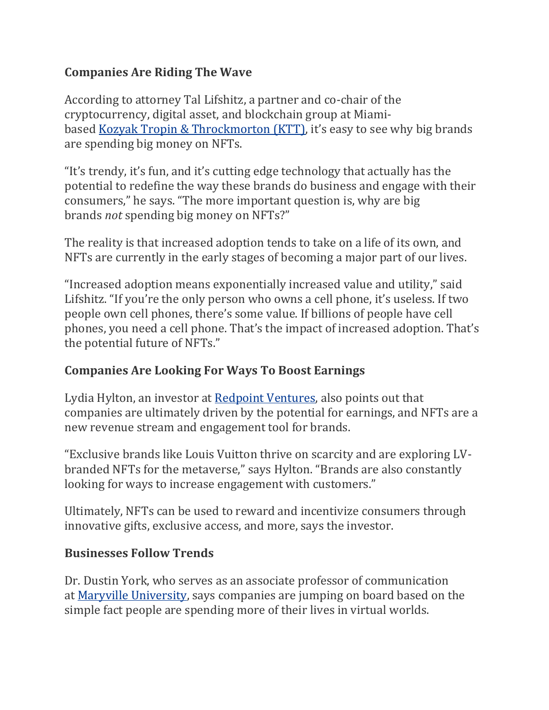### **Companies Are Riding The Wave**

According to attorney Tal Lifshitz, a partner and co-chair of the cryptocurrency, digital asset, and blockchain group at Miamibased Kozyak [Tropin & Throckmorton \(KTT\)](https://kttlaw.com/), it's easy to see why big brands are spending big money on NFTs.

"It's trendy, it's fun, and it's cutting edge technology that actually has the potential to redefine the way these brands do business and engage with their consumers," he says. "The more important question is, why are big brands *not* spending big money on NFTs?"

The reality is that increased adoption tends to take on a life of its own, and NFTs are currently in the early stages of becoming a major part of our lives.

"Increased adoption means exponentially increased value and utility," said Lifshitz. "If you're the only person who owns a cell phone, it's useless. If two people own cell phones, there's some value. If billions of people have cell phones, you need a cell phone. That's the impact of increased adoption. That's the potential future of NFTs."

#### **Companies Are Looking For Ways To Boost Earnings**

Lydia Hylton, an investor at Redpoint [Ventures,](https://www.redpoint.com/) also points out that companies are ultimately driven by the potential for earnings, and NFTs are a new revenue stream and engagement tool for brands.

"Exclusive brands like Louis Vuitton thrive on scarcity and are exploring LVbranded NFTs for the metaverse," says Hylton. "Brands are also constantly looking for ways to increase engagement with customers."

Ultimately, NFTs can be used to reward and incentivize consumers through innovative gifts, exclusive access, and more, says the investor.

#### **Businesses Follow Trends**

Dr. Dustin York, who serves as an associate professor of communication at [Maryville University,](https://online.maryville.edu/business-degrees) says companies are jumping on board based on the simple fact people are spending more of their lives in virtual worlds.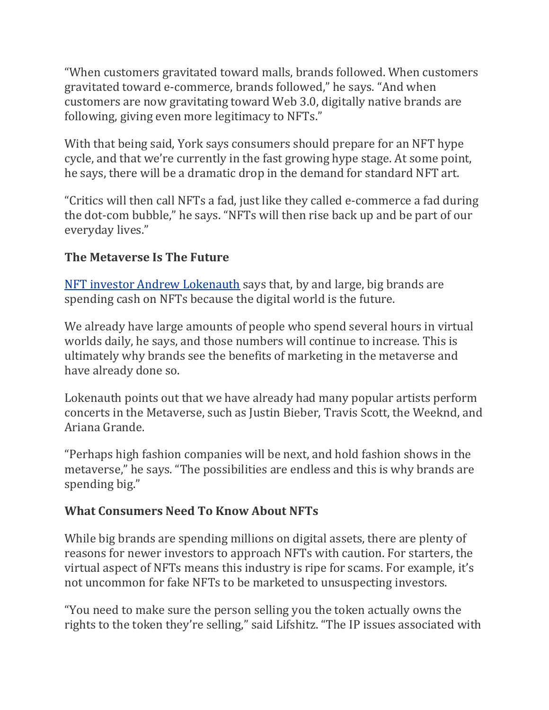"When customers gravitated toward malls, brands followed. When customers gravitated toward e-commerce, brands followed," he says. "And when customers are now gravitating toward Web 3.0, digitally native brands are following, giving even more legitimacy to NFTs."

With that being said, York says consumers should prepare for an NFT hype cycle, and that we're currently in the fast growing hype stage. At some point, he says, there will be a dramatic drop in the demand for standard NFT art.

"Critics will then call NFTs a fad, just like they called e-commerce a fad during the dot-com bubble," he says. "NFTs will then rise back up and be part of our everyday lives."

#### **The Metaverse Is The Future**

[NFT investor Andrew Lokenauth](https://www.linkedin.com/in/lokenauth/) says that, by and large, big brands are spending cash on NFTs because the digital world is the future.

We already have large amounts of people who spend several hours in virtual worlds daily, he says, and those numbers will continue to increase. This is ultimately why brands see the benefits of marketing in the metaverse and have already done so.

Lokenauth points out that we have already had many popular artists perform concerts in the Metaverse, such as Justin Bieber, Travis Scott, the Weeknd, and Ariana Grande.

"Perhaps high fashion companies will be next, and hold fashion shows in the metaverse," he says. "The possibilities are endless and this is why brands are spending big."

#### **What Consumers Need To Know About NFTs**

While big brands are spending millions on digital assets, there are plenty of reasons for newer investors to approach NFTs with caution. For starters, the virtual aspect of NFTs means this industry is ripe for scams. For example, it's not uncommon for fake NFTs to be marketed to unsuspecting investors.

"You need to make sure the person selling you the token actually owns the rights to the token they're selling," said Lifshitz. "The IP issues associated with